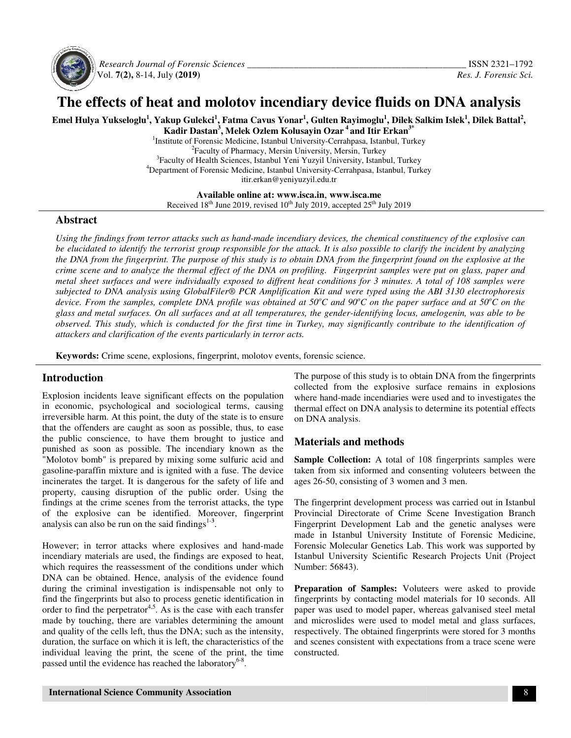

 *Research Journal of Forensic Sciences \_\_\_\_\_\_\_\_\_\_\_\_\_\_\_\_* Vol. **7(2),** 8-14, July **(2019)**

# **The effects of heat and molotov incendiary device fluids on DNA analysis device fluids**

Emel Hulya Yukseloglu<sup>1</sup>, Yakup Gulekci<sup>1</sup>, Fatma Cavus Yonar<sup>1</sup>, Gulten Rayimoglu<sup>1</sup>, Dilek Salkim Islek<sup>1</sup>, Dilek Battal<sup>2</sup>, **Kadir Dastan Kadir <sup>3</sup> , Melek Ozlem Kolusayin Ozar<sup>4</sup>and Itir Erkan3\*** 

<sup>1</sup>Institute of Forensic Medicine, Istanbul University-Cerrahpasa, Istanbul, Turkey <sup>2</sup>Faculty of Pharmacy, Mersin University, Mersin, Turkey <sup>2</sup> Faculty of Pharmacy, Mersin University, Mersin, Turkey<br><sup>3</sup> Faculty of Health Sciences, Istanbul Yeni Yuzyil University, Istanbul, Turkey <sup>4</sup>Department of Forensic Medicine, Istanbul University-Cerrahpasa, Istanbul, Turkey itir.erkan@yeniyuzyil.edu.tr

**Available online at: www.isca.in**, **www.isca.me**  Received 18<sup>th</sup> June 2019, revised 10<sup>th</sup> July 2019, accepted 25<sup>th</sup> July 2019

# **Abstract**

Using the findings from terror attacks such as hand-made incendiary devices, the chemical constituency of the explosive can Using the findings from terror attacks such as hand-made incendiary devices, the chemical constituency of the explosive can<br>be elucidated to identify the terrorist group responsible for the attack. It is also possible to c *the DNA from the fingerprint. The purpose of this study is to obtain DNA from the fingerprint found on the explosive at the crime scene and to analyze the thermal effect of the DNA on profiling. Fingerprint samples were put on glass, paper and metal sheet surfaces and were individually exposed to diffrent heat conditions for 3 minutes. A total of 108 samples were subjected to DNA analysis using GlobalFiler® PCR Amplification Kit and were typed using the ABI 3130 electrophoresis device. From the samples, complete DNA profile was obtained at 50°C and 90°C on the paper surface and at 50°C on the* glass and metal surfaces. On all surfaces and at all temperatures, the gender-identifying locus, amelogenin, was able to be observed. This study, which is conducted for the first time in Turkey, may significantly contribute to the identification of<br>attackers and clarification of the events particularly in terror acts. *attackers and clarification of the events par* be elucidated to identify the terrorist group responsible for the attack. It is also possible to clarify the incident by ana<br>the DNA from the fingerprint. The purpose of this study is to obtain DNA from the fingerprint fou

Keywords: Crime scene, explosions, fingerprint, molotov events, forensic science.

# **Introduction**

Explosion incidents leave significant effects on the population in economic, psychological and sociological terms, causing irreversible harm. At this point, the duty of the state is to ensure that the offenders are caught as soon as possible, thus, to ease the public conscience, to have them brought to justice and punished as soon as possible. The incendiary known as the "Molotov bomb" is prepared by mixing some sulfuric acid and gasoline-paraffin mixture and is ignited with a fuse. The device incinerates the target. It is dangerous for the safety of life and property, causing disruption of the public order. Using the findings at the crime scenes from the terrorist attacks, the type of the explosive can be identified. Moreover, fingerprint analysis can also be run on the said findings $1-3$ . losion incidents leave significant effects on the popula<br>conomic, psychological and sociological terms, causersible harm. At this point, the duty of the state is to ens<br>the offenders are caught as soon as possible, thus, t

However; in terror attacks where explosives and hand-made incendiary materials are used, the findings are exposed to heat, which requires the reassessment of the conditions under which DNA can be obtained. Hence, analysis of the evidence found during the criminal investigation is indispensable not only to find the fingerprints but also to process genetic identification in order to find the perpetrator<sup>4,5</sup>. As is the case with each transfer made by touching, there are variables determining the amount and quality of the cells left, thus the DNA; such as the intensity, duration, the surface on which it is left, the characteristics of the individual leaving the print, the scene of the print, the time passed until the evidence has reached the laboratory<sup>6-8</sup>. which requires the reassessment of the conditions under which<br>DNA can be obtained. Hence, analysis of the evidence found<br>during the criminal investigation is indispensable not only to<br>find the fingerprints but also to proc order to find the perpetrator<sup>4,5</sup>. As is the case with each tra<br>made by touching, there are variables determining the an<br>and quality of the cells left, thus the DNA; such as the inter<br>duration, the surface on which it is

The purpose of this study is to obtain DNA from the fingerprints The purpose of this study is to obtain DNA from the fingerprints collected from the explosive surface remains in explosions where hand-made incendiaries were used and to investigates the thermal effect on DNA analysis to determine its potential effects on DNA analysis.

# **Materials and methods**

**Sample Collection:** A total of 108 fingerprints samples were taken from six informed and consenting voluteers between the ages 26-50, consisting of 3 women and 3 men.

The fingerprint development process was carried out in Istanbul Provincial Directorate of Crime Scene Investigation Branch Fingerprint Development Lab and the genetic analyses were made in Istanbul University Institute of Forensic Medicine, Forensic Molecular Genetics Lab. This work was supported by Istanbul University Scientific Research Projects Unit (Project Number: 56843). Forensic Molecular Genetics Lab. This work was supported by Istanbul University Scientific Research Projects Unit (Project Number: 56843).<br>**Preparation of Samples:** Voluteers were asked to provide effect on DNA analysis to determine its potential effects<br>
analysis.<br> **ials and methods**<br> **Collection:** A total of 108 fingerprints samples were<br>
om six informed and consenting voluteers between the<br>
50, consisting of 3 wo

fingerprints by contacting model materials for 10 seconds. All paper was used to model paper, whereas galvanised steel metal and microslides were used to model metal and glass surfaces, respectively. The obtained fingerprints were stored for 3 months and scenes consistent with expectations from a trace scene were constructed. fingerprints by contacting model materials for 10 seconds. All paper was used to model paper, whereas galvanised steel metal and microslides were used to model metal and glass surfaces, respectively. The obtained fingerpri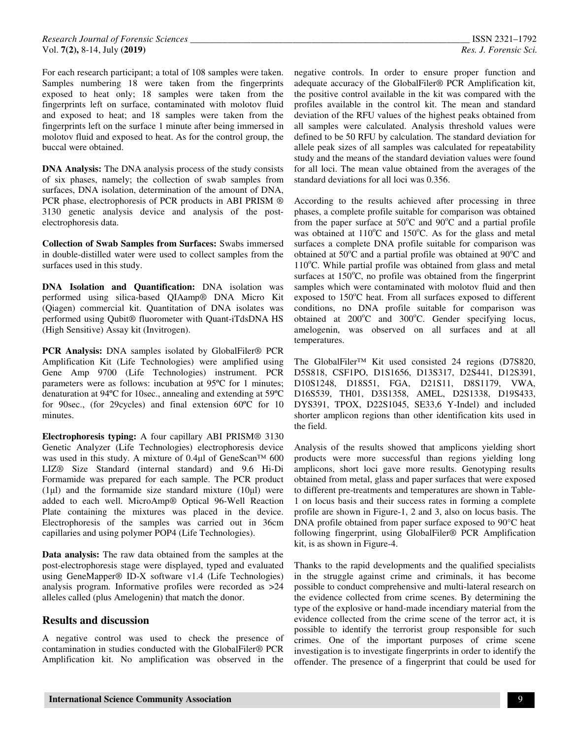For each research participant; a total of 108 samples were taken. Samples numbering 18 were taken from the fingerprints exposed to heat only; 18 samples were taken from the fingerprints left on surface, contaminated with molotov fluid and exposed to heat; and 18 samples were taken from the fingerprints left on the surface 1 minute after being immersed in molotov fluid and exposed to heat. As for the control group, the buccal were obtained.

**DNA Analysis:** The DNA analysis process of the study consists of six phases, namely; the collection of swab samples from surfaces, DNA isolation, determination of the amount of DNA, PCR phase, electrophoresis of PCR products in ABI PRISM  $@$ 3130 genetic analysis device and analysis of the postelectrophoresis data.

**Collection of Swab Samples from Surfaces:** Swabs immersed in double-distilled water were used to collect samples from the surfaces used in this study.

**DNA Isolation and Quantification:** DNA isolation was performed using silica-based QIAamp® DNA Micro Kit (Qiagen) commercial kit. Quantitation of DNA isolates was performed using Qubit® fluorometer with Quant-iTdsDNA HS (High Sensitive) Assay kit (Invitrogen).

**PCR Analysis:** DNA samples isolated by GlobalFiler® PCR Amplification Kit (Life Technologies) were amplified using Gene Amp 9700 (Life Technologies) instrument. PCR parameters were as follows: incubation at 95ºC for 1 minutes; denaturation at 94ºC for 10sec., annealing and extending at 59ºC for 90sec., (for 29cycles) and final extension 60ºC for 10 minutes.

**Electrophoresis typing:** A four capillary ABI PRISM® 3130 Genetic Analyzer (Life Technologies) electrophoresis device was used in this study. A mixture of 0.4µl of GeneScan™ 600 LIZ® Size Standard (internal standard) and 9.6 Hi-Di Formamide was prepared for each sample. The PCR product  $(1)$  and the formamide size standard mixture  $(10)$ ul) were added to each well. MicroAmp® Optical 96-Well Reaction Plate containing the mixtures was placed in the device. Electrophoresis of the samples was carried out in 36cm capillaries and using polymer POP4 (Life Technologies).

**Data analysis:** The raw data obtained from the samples at the post-electrophoresis stage were displayed, typed and evaluated using GeneMapper® ID-X software v1.4 (Life Technologies) analysis program. Informative profiles were recorded as >24 alleles called (plus Amelogenin) that match the donor.

#### **Results and discussion**

A negative control was used to check the presence of contamination in studies conducted with the GlobalFiler® PCR Amplification kit. No amplification was observed in the

negative controls. In order to ensure proper function and adequate accuracy of the GlobalFiler® PCR Amplification kit, the positive control available in the kit was compared with the profiles available in the control kit. The mean and standard deviation of the RFU values of the highest peaks obtained from all samples were calculated. Analysis threshold values were defined to be 50 RFU by calculation. The standard deviation for allele peak sizes of all samples was calculated for repeatability study and the means of the standard deviation values were found for all loci. The mean value obtained from the averages of the standard deviations for all loci was 0.356.

According to the results achieved after processing in three phases, a complete profile suitable for comparison was obtained from the paper surface at  $50^{\circ}$ C and  $90^{\circ}$ C and a partial profile was obtained at  $110^{\circ}$ C and  $150^{\circ}$ C. As for the glass and metal surfaces a complete DNA profile suitable for comparison was obtained at  $50^{\circ}$ C and a partial profile was obtained at  $90^{\circ}$ C and  $110^{\circ}$ C. While partial profile was obtained from glass and metal surfaces at  $150^{\circ}$ C, no profile was obtained from the fingerprint samples which were contaminated with molotov fluid and then exposed to  $150^{\circ}$ C heat. From all surfaces exposed to different conditions, no DNA profile suitable for comparison was obtained at 200°C and 300°C. Gender specifying locus, amelogenin, was observed on all surfaces and at all temperatures.

The GlobalFiler™ Kit used consisted 24 regions (D7S820, D5S818, CSF1PO, D1S1656, D13S317, D2S441, D12S391, D10S1248, D18S51, FGA, D21S11, D8S1179, VWA, D16S539, TH01, D3S1358, AMEL, D2S1338, D19S433, DYS391, TPOX, D22S1045, SE33,6 Y-Indel) and included shorter amplicon regions than other identification kits used in the field.

Analysis of the results showed that amplicons yielding short products were more successful than regions yielding long amplicons, short loci gave more results. Genotyping results obtained from metal, glass and paper surfaces that were exposed to different pre-treatments and temperatures are shown in Table-1 on locus basis and their success rates in forming a complete profile are shown in Figure-1, 2 and 3, also on locus basis. The DNA profile obtained from paper surface exposed to 90°C heat following fingerprint, using GlobalFiler® PCR Amplification kit, is as shown in Figure-4.

Thanks to the rapid developments and the qualified specialists in the struggle against crime and criminals, it has become possible to conduct comprehensive and multi-lateral research on the evidence collected from crime scenes. By determining the type of the explosive or hand-made incendiary material from the evidence collected from the crime scene of the terror act, it is possible to identify the terrorist group responsible for such crimes. One of the important purposes of crime scene investigation is to investigate fingerprints in order to identify the offender. The presence of a fingerprint that could be used for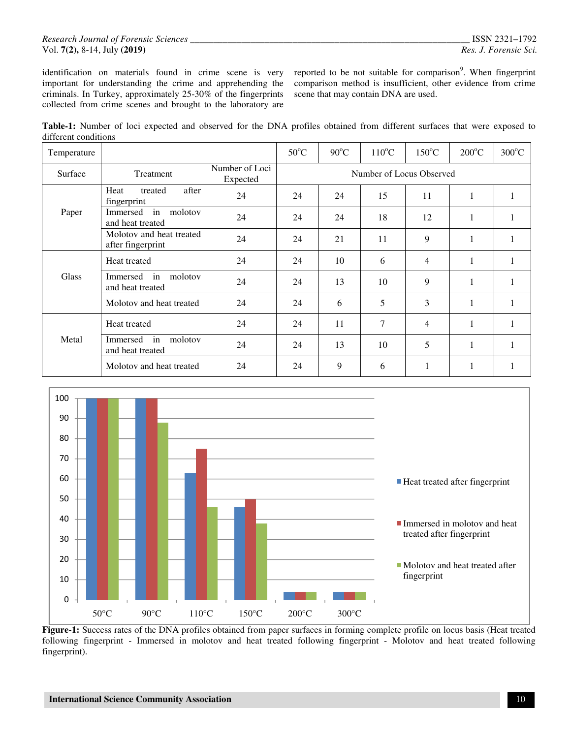#### *Research Journal of Forensic Sciences \_\_\_\_\_\_\_\_\_\_\_\_\_\_\_\_\_\_\_\_\_\_\_\_\_\_\_\_\_\_\_\_\_\_\_\_\_\_\_\_\_\_\_\_\_\_\_\_\_\_\_\_\_\_\_\_\_\_\_\_* ISSN 2321–1792 Vol. **7(2),** 8-14, July **(2019)** *Res. J. Forensic Sci.*

identification on materials found in crime scene is very important for understanding the crime and apprehending the criminals. In Turkey, approximately 25-30% of the fingerprints collected from crime scenes and brought to the laboratory are

reported to be not suitable for comparison<sup>9</sup>. When fingerprint comparison method is insufficient, other evidence from crime scene that may contain DNA are used.

| Table-1: Number of loci expected and observed for the DNA profiles obtained from different surfaces that were exposed to |  |  |  |  |  |  |  |
|--------------------------------------------------------------------------------------------------------------------------|--|--|--|--|--|--|--|
| different conditions                                                                                                     |  |  |  |  |  |  |  |

| Temperature |                                               |                            | $50^{\circ}$ C           | $90^{\circ}$ C | $110^{\circ}$ C | $150^{\circ}$ C | $200^{\circ}$ C | $300^{\circ}$ C |  |  |  |
|-------------|-----------------------------------------------|----------------------------|--------------------------|----------------|-----------------|-----------------|-----------------|-----------------|--|--|--|
| Surface     | Treatment                                     | Number of Loci<br>Expected | Number of Locus Observed |                |                 |                 |                 |                 |  |  |  |
|             | after<br>Heat<br>treated<br>fingerprint       | 24                         | 24                       | 24             | 15              | 11              | $\mathbf{1}$    |                 |  |  |  |
| Paper       | in<br>molotov<br>Immersed<br>and heat treated | 24                         | 24                       | 24             | 18              | 12              | 1               | 1               |  |  |  |
|             | Molotov and heat treated<br>after fingerprint | 24                         | 24                       | 21             | 11              | 9               | $\mathbf{1}$    |                 |  |  |  |
| Glass       | Heat treated                                  | 24                         | 24                       | 10             | 6               | 4               | $\mathbf{1}$    | 1               |  |  |  |
|             | in<br>molotov<br>Immersed<br>and heat treated | 24                         | 24                       | 13             | 10              | 9               | 1               | 1               |  |  |  |
|             | Molotov and heat treated                      | 24                         | 24                       | 6              | 5               | 3               | $\mathbf{1}$    |                 |  |  |  |
| Metal       | Heat treated                                  | 24                         | 24                       | 11             | 7               | 4               | 1               | $\mathbf{1}$    |  |  |  |
|             | in<br>molotov<br>Immersed<br>and heat treated | 24                         | 24                       | 13             | 10              | 5               | $\mathbf{1}$    |                 |  |  |  |
|             | Molotov and heat treated                      | 24                         | 24                       | 9              | 6               | 1               | 1               | 1               |  |  |  |



**Figure-1:** Success rates of the DNA profiles obtained from paper surfaces in forming complete profile on locus basis (Heat treated following fingerprint - Immersed in molotov and heat treated following fingerprint - Molotov and heat treated following fingerprint).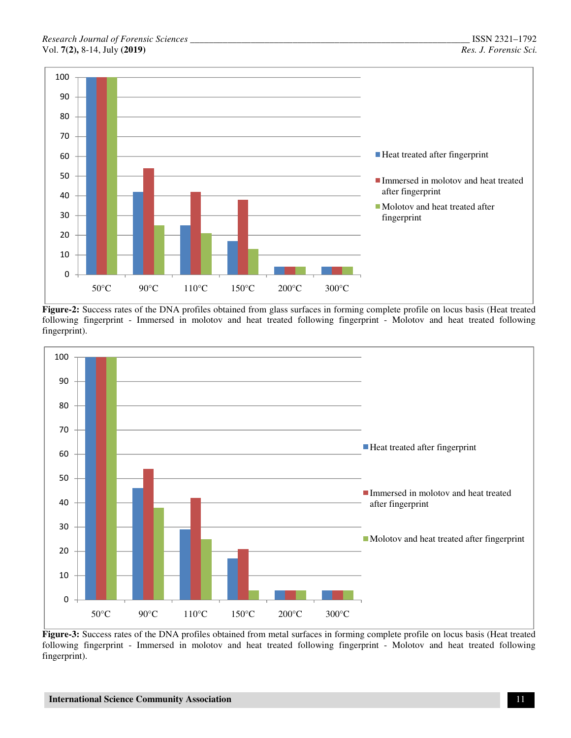

**Figure-2:** Success rates of the DNA profiles obtained from glass surfaces in forming complete profile on locus basis (Heat treated following fingerprint - Immersed in molotov and heat treated following fingerprint - Molotov and heat treated following fingerprint).



**Figure-3:** Success rates of the DNA profiles obtained from metal surfaces in forming complete profile on locus basis (Heat treated following fingerprint - Immersed in molotov and heat treated following fingerprint - Molotov and heat treated following fingerprint).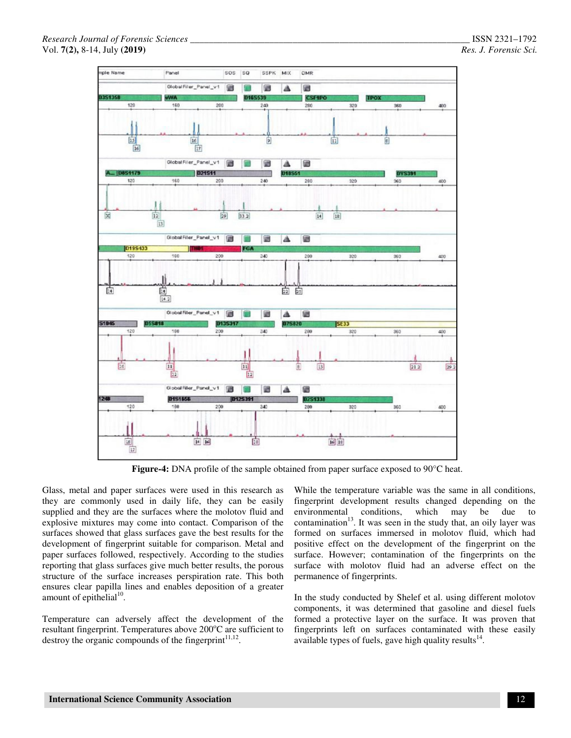

**Figure-4:** DNA profile of the sample obtained from paper surface exposed to 90°C heat.

Glass, metal and paper surfaces were used in this research as they are commonly used in daily life, they can be easily supplied and they are the surfaces where the molotov fluid and explosive mixtures may come into contact. Comparison of the surfaces showed that glass surfaces gave the best results for the development of fingerprint suitable for comparison. Metal and paper surfaces followed, respectively. According to the studies reporting that glass surfaces give much better results, the porous structure of the surface increases perspiration rate. This both ensures clear papilla lines and enables deposition of a greater amount of epithelial<sup>10</sup>.

Temperature can adversely affect the development of the resultant fingerprint. Temperatures above  $200^{\circ}$ C are sufficient to destroy the organic compounds of the fingerprint $11,12$ .

While the temperature variable was the same in all conditions, fingerprint development results changed depending on the environmental conditions, which may be due to contamination $13$ . It was seen in the study that, an oily layer was formed on surfaces immersed in molotov fluid, which had positive effect on the development of the fingerprint on the surface. However; contamination of the fingerprints on the surface with molotov fluid had an adverse effect on the permanence of fingerprints.

In the study conducted by Shelef et al. using different molotov components, it was determined that gasoline and diesel fuels formed a protective layer on the surface. It was proven that fingerprints left on surfaces contaminated with these easily available types of fuels, gave high quality results $^{14}$ .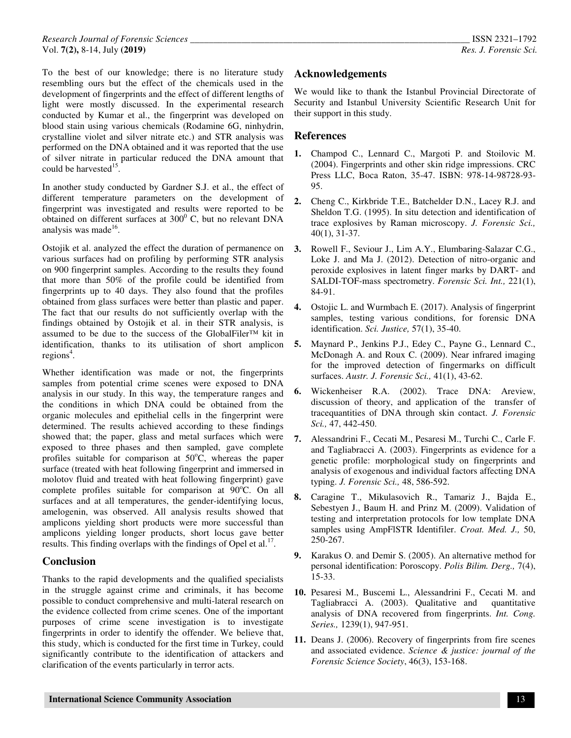To the best of our knowledge; there is no literature study resembling ours but the effect of the chemicals used in the development of fingerprints and the effect of different lengths of light were mostly discussed. In the experimental research conducted by Kumar et al., the fingerprint was developed on blood stain using various chemicals (Rodamine 6G, ninhydrin, crystalline violet and silver nitrate etc.) and STR analysis was performed on the DNA obtained and it was reported that the use of silver nitrate in particular reduced the DNA amount that could be harvested $15$ .

In another study conducted by Gardner S.J. et al., the effect of different temperature parameters on the development of fingerprint was investigated and results were reported to be obtained on different surfaces at  $300^{\circ}$  C, but no relevant DNA analysis was made<sup>16</sup>.

Ostojik et al. analyzed the effect the duration of permanence on various surfaces had on profiling by performing STR analysis on 900 fingerprint samples. According to the results they found that more than 50% of the profile could be identified from fingerprints up to 40 days. They also found that the profiles obtained from glass surfaces were better than plastic and paper. The fact that our results do not sufficiently overlap with the findings obtained by Ostojik et al. in their STR analysis, is assumed to be due to the success of the GlobalFiler™ kit in identification, thanks to its utilisation of short amplicon regions<sup>4</sup>.

Whether identification was made or not, the fingerprints samples from potential crime scenes were exposed to DNA analysis in our study. In this way, the temperature ranges and the conditions in which DNA could be obtained from the organic molecules and epithelial cells in the fingerprint were determined. The results achieved according to these findings showed that; the paper, glass and metal surfaces which were exposed to three phases and then sampled, gave complete profiles suitable for comparison at  $50^{\circ}$ C, whereas the paper surface (treated with heat following fingerprint and immersed in molotov fluid and treated with heat following fingerprint) gave complete profiles suitable for comparison at 90°C. On all surfaces and at all temperatures, the gender-identifying locus, amelogenin, was observed. All analysis results showed that amplicons yielding short products were more successful than amplicons yielding longer products, short locus gave better results. This finding overlaps with the findings of Opel et al. $^{17}$ .

# **Conclusion**

Thanks to the rapid developments and the qualified specialists in the struggle against crime and criminals, it has become possible to conduct comprehensive and multi-lateral research on the evidence collected from crime scenes. One of the important purposes of crime scene investigation is to investigate fingerprints in order to identify the offender. We believe that, this study, which is conducted for the first time in Turkey, could significantly contribute to the identification of attackers and clarification of the events particularly in terror acts.

# **Acknowledgements**

We would like to thank the Istanbul Provincial Directorate of Security and Istanbul University Scientific Research Unit for their support in this study.

# **References**

- **1.** Champod C., Lennard C., Margoti P. and Stoilovic M. (2004). Fingerprints and other skin ridge impressions. CRC Press LLC, Boca Raton, 35-47. ISBN: 978-14-98728-93- 95.
- **2.** Cheng C., Kirkbride T.E., Batchelder D.N., Lacey R.J. and Sheldon T.G. (1995). In situ detection and identification of trace explosives by Raman microscopy. *J. Forensic Sci.,* 40(1), 31-37.
- **3.** Rowell F., Seviour J., Lim A.Y., Elumbaring-Salazar C.G., Loke J. and Ma J. (2012). Detection of nitro-organic and peroxide explosives in latent finger marks by DART- and SALDI-TOF-mass spectrometry. *Forensic Sci. Int.,* 221(1), 84-91.
- **4.** Ostojic L. and Wurmbach E. (2017). Analysis of fingerprint samples, testing various conditions, for forensic DNA identification. *Sci. Justice,* 57(1), 35-40.
- **5.** Maynard P., Jenkins P.J., Edey C., Payne G., Lennard C., McDonagh A. and Roux C. (2009). Near infrared imaging for the improved detection of fingermarks on difficult surfaces. *Austr. J. Forensic Sci.,* 41(1), 43-62.
- **6.** Wickenheiser R.A. (2002). Trace DNA: Areview, discussion of theory, and application of the transfer of tracequantities of DNA through skin contact. *J. Forensic Sci.,* 47, 442-450.
- **7.** Alessandrini F., Cecati M., Pesaresi M., Turchi C., Carle F. and Tagliabracci A. (2003). Fingerprints as evidence for a genetic profile: morphological study on fingerprints and analysis of exogenous and individual factors affecting DNA typing. *J. Forensic Sci.,* 48, 586-592.
- **8.** Caragine T., Mikulasovich R., Tamariz J., Bajda E., Sebestyen J., Baum H. and Prinz M. (2009). Validation of testing and interpretation protocols for low template DNA samples using AmpFlSTR Identifiler. *Croat. Med. J.,* 50, 250-267.
- **9.** Karakus O. and Demir S. (2005). An alternative method for personal identification: Poroscopy. *Polis Bilim. Derg.,* 7(4), 15-33.
- **10.** Pesaresi M., Buscemi L., Alessandrini F., Cecati M. and Tagliabracci A. (2003). Qualitative and quantitative analysis of DNA recovered from fingerprints. *Int. Cong. Series.,* 1239(1), 947-951.
- **11.** Deans J. (2006). Recovery of fingerprints from fire scenes and associated evidence. *Science & justice: journal of the Forensic Science Society*, 46(3), 153-168.